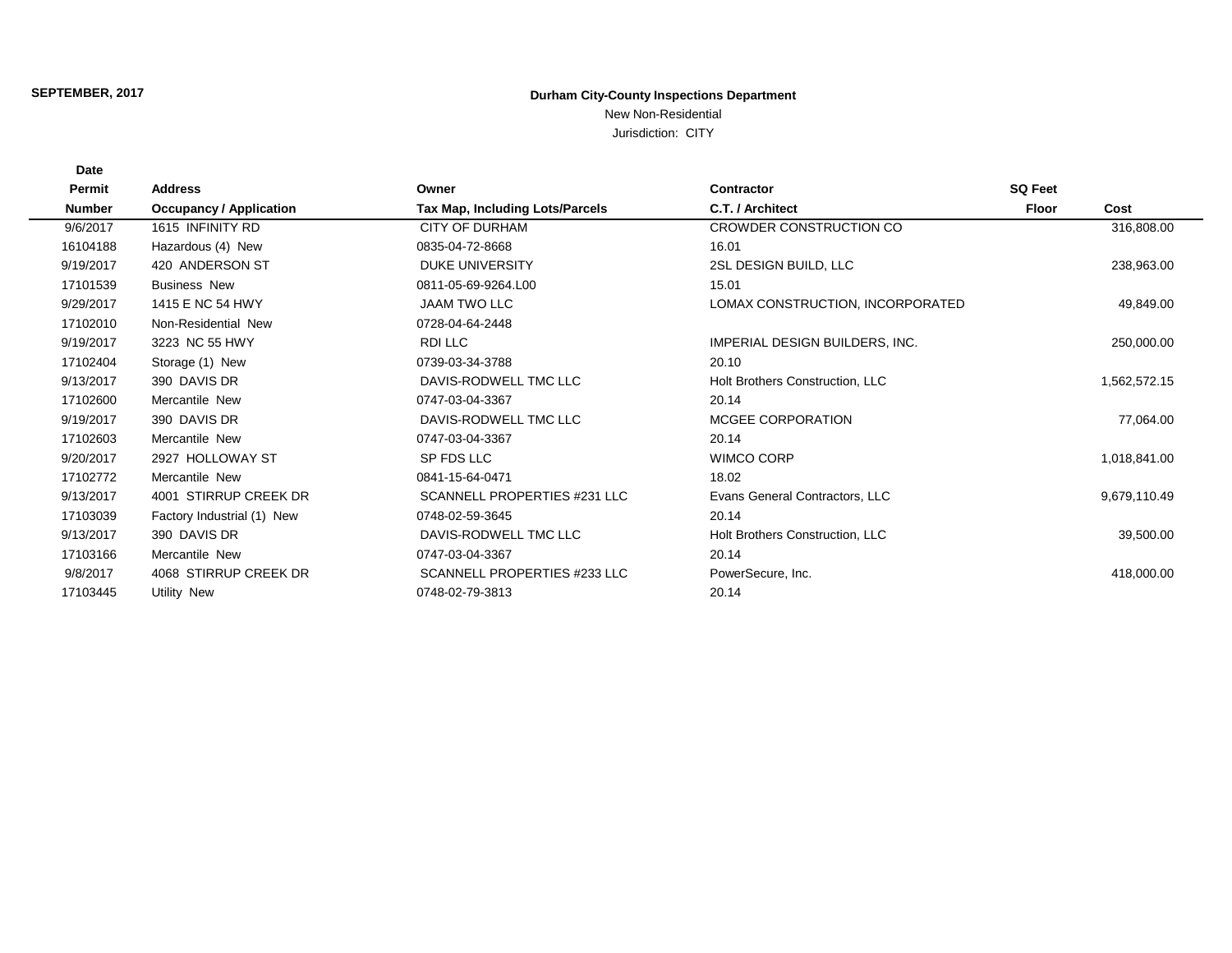## **Durham City-County Inspections Department**

New Non-Residential

Jurisdiction: CITY

| Permit        | <b>Address</b>                 | Owner                                  | Contractor                       | <b>SQ Feet</b> |              |  |
|---------------|--------------------------------|----------------------------------------|----------------------------------|----------------|--------------|--|
| <b>Number</b> | <b>Occupancy / Application</b> | <b>Tax Map, Including Lots/Parcels</b> | C.T. / Architect                 | <b>Floor</b>   | Cost         |  |
| 9/6/2017      | 1615 INFINITY RD               | <b>CITY OF DURHAM</b>                  | CROWDER CONSTRUCTION CO          |                | 316,808.00   |  |
| 16104188      | Hazardous (4) New              | 0835-04-72-8668                        | 16.01                            |                |              |  |
| 9/19/2017     | 420 ANDERSON ST                | <b>DUKE UNIVERSITY</b>                 | 2SL DESIGN BUILD, LLC            |                | 238,963.00   |  |
| 17101539      | <b>Business New</b>            | 0811-05-69-9264.L00                    | 15.01                            |                |              |  |
| 9/29/2017     | 1415 E NC 54 HWY               | <b>JAAM TWO LLC</b>                    | LOMAX CONSTRUCTION, INCORPORATED |                | 49,849.00    |  |
| 17102010      | Non-Residential New            | 0728-04-64-2448                        |                                  |                |              |  |
| 9/19/2017     | 3223 NC 55 HWY                 | RDI LLC                                | IMPERIAL DESIGN BUILDERS, INC.   |                | 250,000.00   |  |
| 17102404      | Storage (1) New                | 0739-03-34-3788                        | 20.10                            |                |              |  |
| 9/13/2017     | 390 DAVIS DR                   | DAVIS-RODWELL TMC LLC                  | Holt Brothers Construction, LLC  |                | 1,562,572.15 |  |
| 17102600      | Mercantile New                 | 0747-03-04-3367                        | 20.14                            |                |              |  |
| 9/19/2017     | 390 DAVIS DR                   | DAVIS-RODWELL TMC LLC                  | MCGEE CORPORATION                |                | 77,064.00    |  |
| 17102603      | Mercantile New                 | 0747-03-04-3367                        | 20.14                            |                |              |  |
| 9/20/2017     | 2927 HOLLOWAY ST               | SP FDS LLC                             | <b>WIMCO CORP</b>                |                | 1,018,841.00 |  |
| 17102772      | Mercantile New                 | 0841-15-64-0471                        | 18.02                            |                |              |  |
| 9/13/2017     | 4001 STIRRUP CREEK DR          | SCANNELL PROPERTIES #231 LLC           | Evans General Contractors, LLC   |                | 9,679,110.49 |  |
| 17103039      | Factory Industrial (1) New     | 0748-02-59-3645                        | 20.14                            |                |              |  |
| 9/13/2017     | 390 DAVIS DR                   | DAVIS-RODWELL TMC LLC                  | Holt Brothers Construction, LLC  |                | 39,500.00    |  |
| 17103166      | Mercantile New                 | 0747-03-04-3367                        | 20.14                            |                |              |  |
| 9/8/2017      | 4068 STIRRUP CREEK DR          | SCANNELL PROPERTIES #233 LLC           | PowerSecure, Inc.                |                | 418,000.00   |  |
| 17103445      | Utility New                    | 0748-02-79-3813                        | 20.14                            |                |              |  |